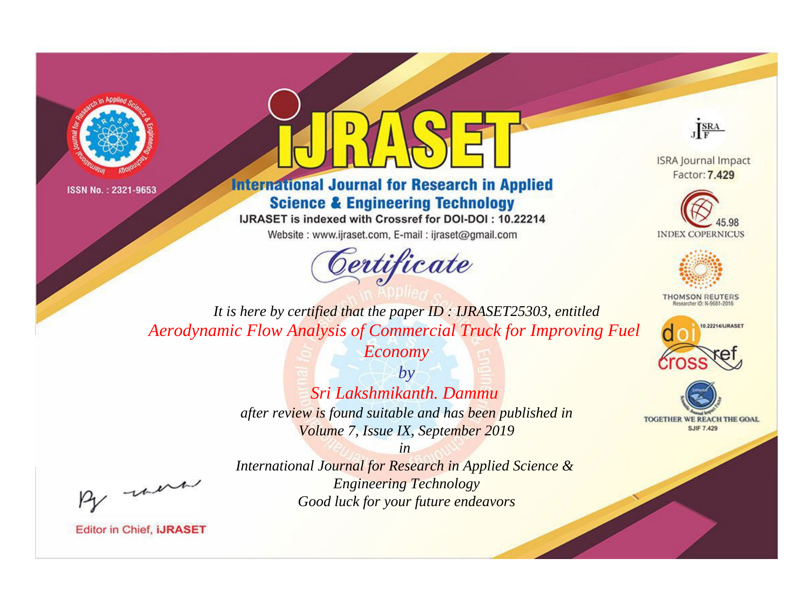



**International Journal for Research in Applied Science & Engineering Technology** 

IJRASET is indexed with Crossref for DOI-DOI: 10.22214

Website: www.ijraset.com, E-mail: ijraset@gmail.com





**ISRA Journal Impact** Factor: 7.429





**THOMSON REUTERS** 



TOGETHER WE REACH THE GOAL **SJIF 7.429** 

*It is here by certified that the paper ID : IJRASET25303, entitled Aerodynamic Flow Analysis of Commercial Truck for Improving Fuel* 

*Economy*

*by Sri Lakshmikanth. Dammu after review is found suitable and has been published in Volume 7, Issue IX, September 2019*

, were

*International Journal for Research in Applied Science & Engineering Technology Good luck for your future endeavors*

*in*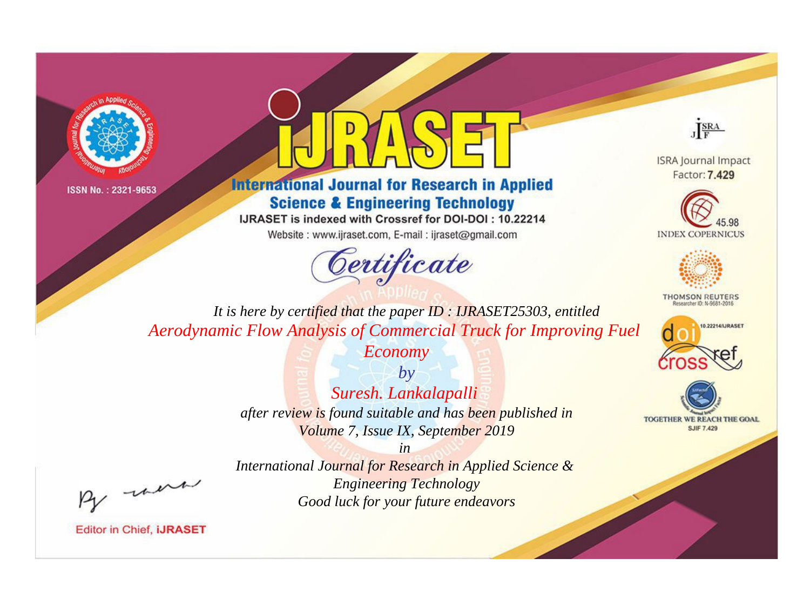



**International Journal for Research in Applied Science & Engineering Technology** 

IJRASET is indexed with Crossref for DOI-DOI: 10.22214

Website: www.ijraset.com, E-mail: ijraset@gmail.com





**ISRA Journal Impact** Factor: 7.429





**THOMSON REUTERS** 



TOGETHER WE REACH THE GOAL **SJIF 7.429** 

*It is here by certified that the paper ID : IJRASET25303, entitled Aerodynamic Flow Analysis of Commercial Truck for Improving Fuel* 

*Economy*

*by Suresh. Lankalapalli after review is found suitable and has been published in Volume 7, Issue IX, September 2019*

, un

*International Journal for Research in Applied Science & Engineering Technology Good luck for your future endeavors*

*in*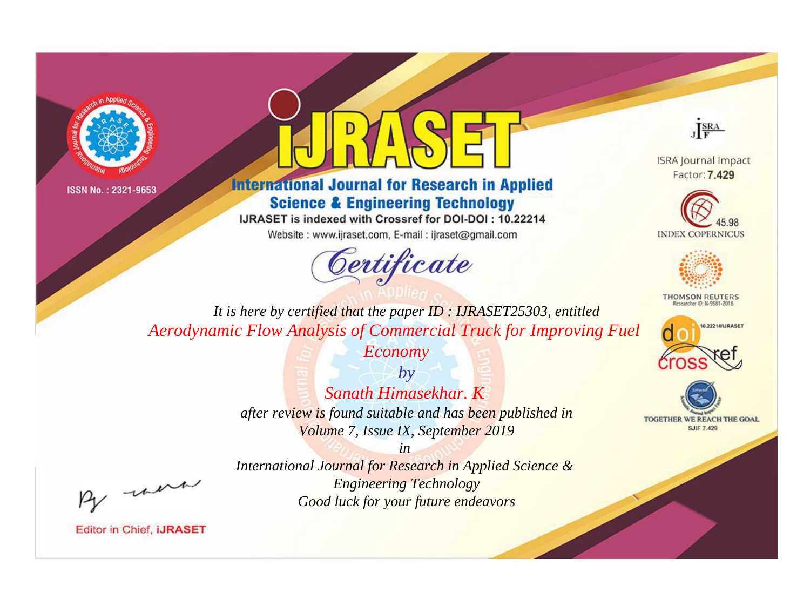



**International Journal for Research in Applied Science & Engineering Technology** 

IJRASET is indexed with Crossref for DOI-DOI: 10.22214

Website: www.ijraset.com, E-mail: ijraset@gmail.com





**ISRA Journal Impact** Factor: 7.429





**THOMSON REUTERS** 



TOGETHER WE REACH THE GOAL **SJIF 7.429** 

*It is here by certified that the paper ID : IJRASET25303, entitled Aerodynamic Flow Analysis of Commercial Truck for Improving Fuel* 

*Economy*

*by Sanath Himasekhar. K after review is found suitable and has been published in Volume 7, Issue IX, September 2019*

*in* 

, un

*International Journal for Research in Applied Science & Engineering Technology Good luck for your future endeavors*